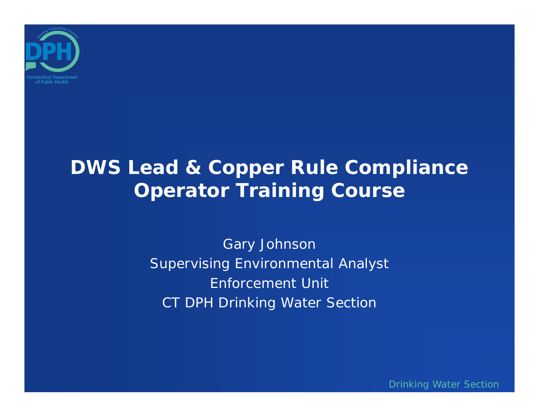

## **DWS Lead & Copper Rule Compliance Operator Training Course**

Gary Johnson Supervising Environmental Analyst Enforcement UnitCT DPH Drinking Water Section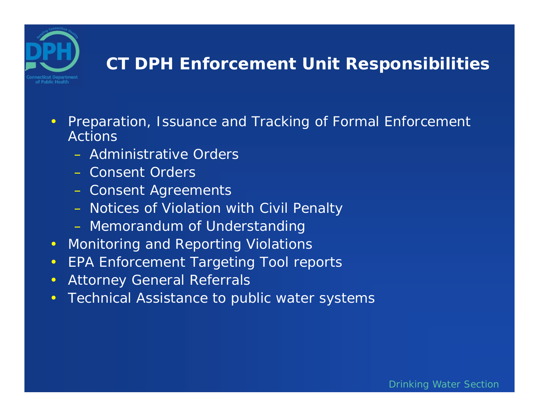

#### **CT DPH Enforcement Unit Responsibilities**

- $\bullet$  Preparation, Issuance and Tracking of Formal Enforcement Actions
	- Administrative Orders
	- Consent Orders
	- –Consent Agreements
	- –Notices of Violation with Civil Penalty
	- –Memorandum of Understanding
- $\bullet$ Monitoring and Reporting Violations
- $\bullet$ EPA Enforcement Targeting Tool reports
- $\bullet$ Attorney General Referrals
- $\bullet$ Technical Assistance to public water systems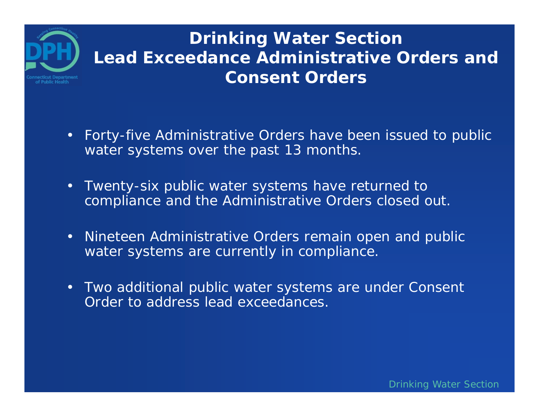### **Drinking Water Section Lead Exceedance Administrative Orders and Consent Orders**

- $\bullet$  Forty-five Administrative Orders have been issued to public water systems over the past 13 months.
- • Twenty-six public water systems have returned to compliance and the Administrative Orders closed out.
- Nineteen Administrative Orders remain open and public water systems are currently in compliance.
- Two additional public water systems are under Consent Order to address lead exceedances.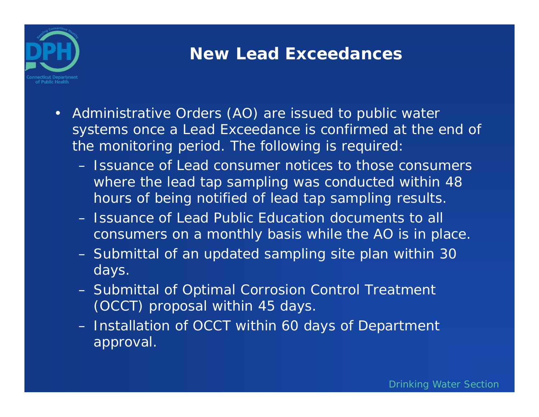

#### **New Lead Exceedances**

- Administrative Orders (AO) are issued to public water systems once a Lead Exceedance is confirmed at the end of the monitoring period. The following is required:
	- Issuance of Lead consumer notices to those consumers where the lead tap sampling was conducted within 48 hours of being notified of lead tap sampling results.
	- Issuance of Lead Public Education documents to all consumers on a monthly basis while the AO is in place.
	- – Submittal of an updated sampling site plan within 30 days.
	- – Submittal of Optimal Corrosion Control Treatment (OCCT) proposal within 45 days.
	- – Installation of OCCT within 60 days of Department approval.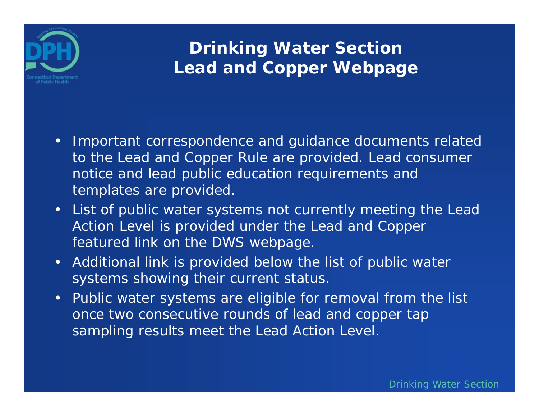

### **Drinking Water Section Lead and Copper Webpage**

- Important correspondence and guidance documents related to the Lead and Copper Rule are provided. Lead consumer notice and lead public education requirements and templates are provided.
- List of public water systems not currently meeting the Lead Action Level is provided under the Lead and Copper featured link on the DWS webpage.
- Additional link is provided below the list of public water systems showing their current status.
- Public water systems are eligible for removal from the list once two consecutive rounds of lead and copper tap sampling results meet the Lead Action Level.